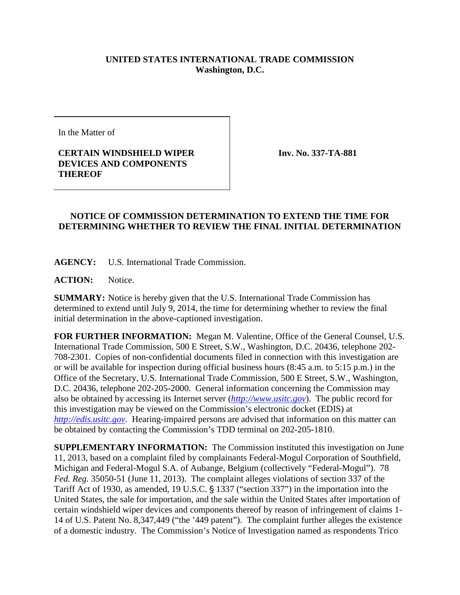## **UNITED STATES INTERNATIONAL TRADE COMMISSION Washington, D.C.**

In the Matter of

## **CERTAIN WINDSHIELD WIPER DEVICES AND COMPONENTS THEREOF**

**Inv. No. 337-TA-881**

## **NOTICE OF COMMISSION DETERMINATION TO EXTEND THE TIME FOR DETERMINING WHETHER TO REVIEW THE FINAL INITIAL DETERMINATION**

**AGENCY:** U.S. International Trade Commission.

**ACTION:** Notice.

**SUMMARY:** Notice is hereby given that the U.S. International Trade Commission has determined to extend until July 9, 2014, the time for determining whether to review the final initial determination in the above-captioned investigation.

**FOR FURTHER INFORMATION:** Megan M. Valentine, Office of the General Counsel, U.S. International Trade Commission, 500 E Street, S.W., Washington, D.C. 20436, telephone 202- 708-2301. Copies of non-confidential documents filed in connection with this investigation are or will be available for inspection during official business hours (8:45 a.m. to 5:15 p.m.) in the Office of the Secretary, U.S. International Trade Commission, 500 E Street, S.W., Washington, D.C. 20436, telephone 202-205-2000. General information concerning the Commission may also be obtained by accessing its Internet server (*[http://www.usitc.gov](http://www.usitc.gov/)*). The public record for this investigation may be viewed on the Commission's electronic docket (EDIS) at *[http://edis.usitc.gov](http://edis.usitc.gov/)*. Hearing-impaired persons are advised that information on this matter can be obtained by contacting the Commission's TDD terminal on 202-205-1810.

**SUPPLEMENTARY INFORMATION:** The Commission instituted this investigation on June 11, 2013, based on a complaint filed by complainants Federal-Mogul Corporation of Southfield, Michigan and Federal-Mogul S.A. of Aubange, Belgium (collectively "Federal-Mogul"). 78 *Fed. Reg.* 35050-51 (June 11, 2013). The complaint alleges violations of section 337 of the Tariff Act of 1930, as amended, 19 U.S.C.  $\S$  1337 ("section 337") in the importation into the United States, the sale for importation, and the sale within the United States after importation of certain windshield wiper devices and components thereof by reason of infringement of claims 1- 14 of U.S. Patent No. 8,347,449 ("the '449 patent"). The complaint further alleges the existence of a domestic industry. The Commission's Notice of Investigation named as respondents Trico